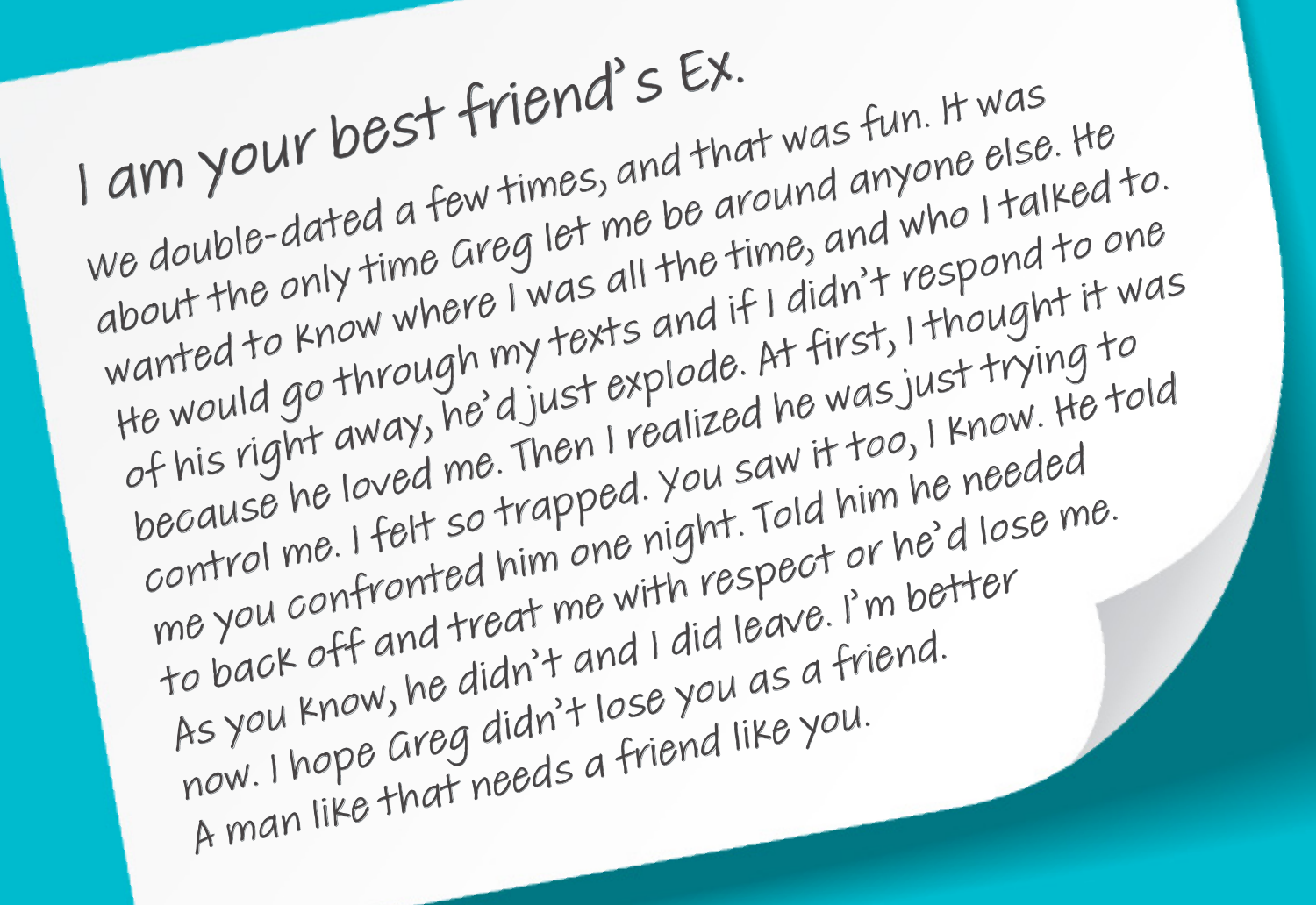We double-dated a few times, and that was fun. It was about the only time Greg let me be around anyone else. He wanted to know where I was all the time, and who I talked to. He would go through my texts and if I didn't respond to one of his right away, he'd just explode. At first, I thought it was because he loved me. Then I realized he was just trying to control me. I felt so trapped. You saw it too, I know. He told me you confronted him one night. Told him he needed to back off and treat me with respect or he'd lose me. As you know, he didn't and I did leave. I'm better now. I hope Greg didn't lose you as a friend. A man like that needs a friend like you. I am your best friend's Ex.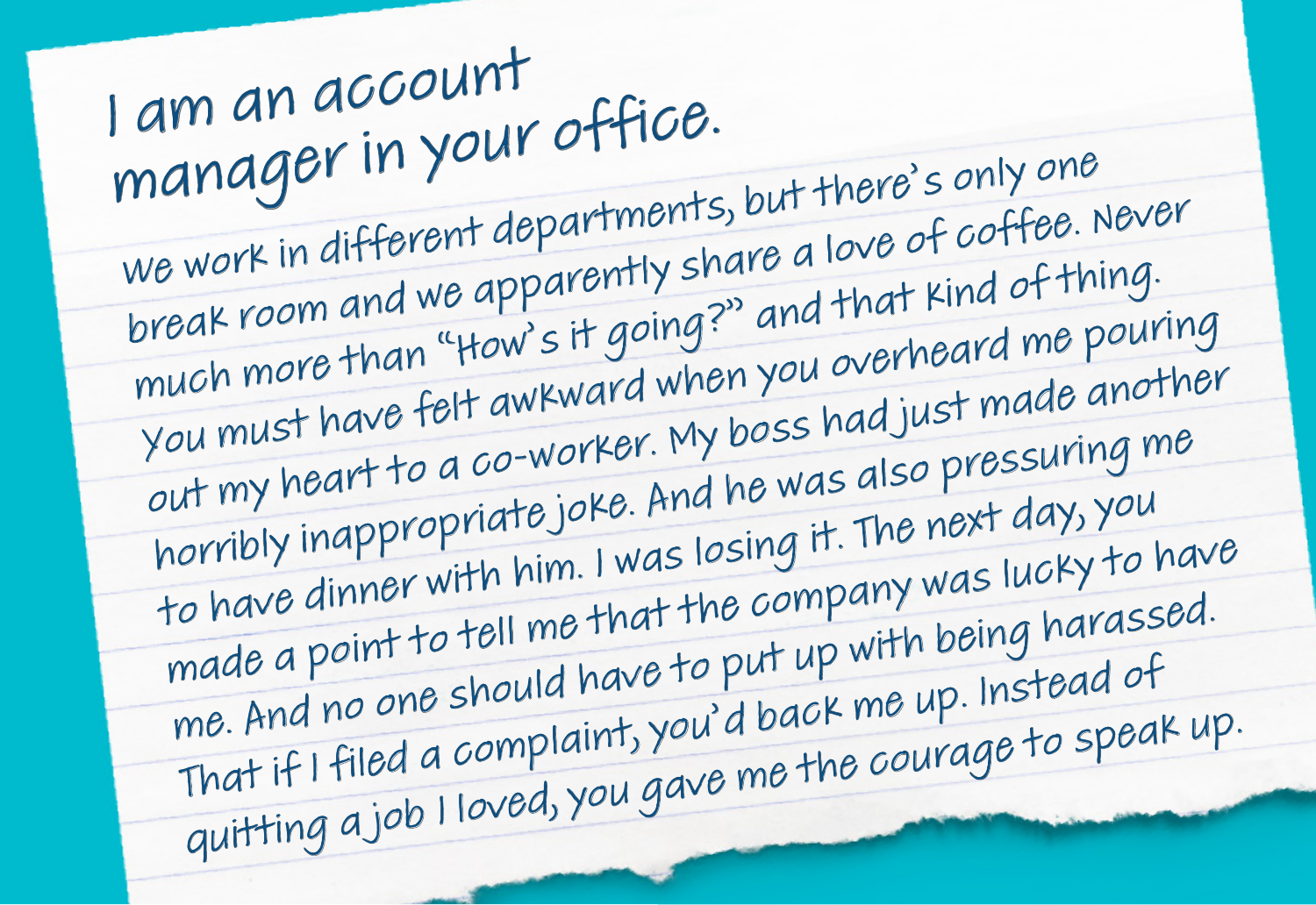We work in different departments, but there's only one break room and we apparently share a love of coffee. Never much more than "How's it going?" and that kind of thing. You must have felt awkward when you overheard me pouring out my heart to a co-worker. My boss had just made another horribly inappropriate joke. And he was also pressuring me to have dinner with him. I was losing it. The next day, you made a point to tell me that the company was lucky to have me. And no one should have to put up with being harassed. That if I filed a complaint, you'd back me up. Instead of quitting a job I loved, you gave me the courage to speak up. I am an account manager in your office.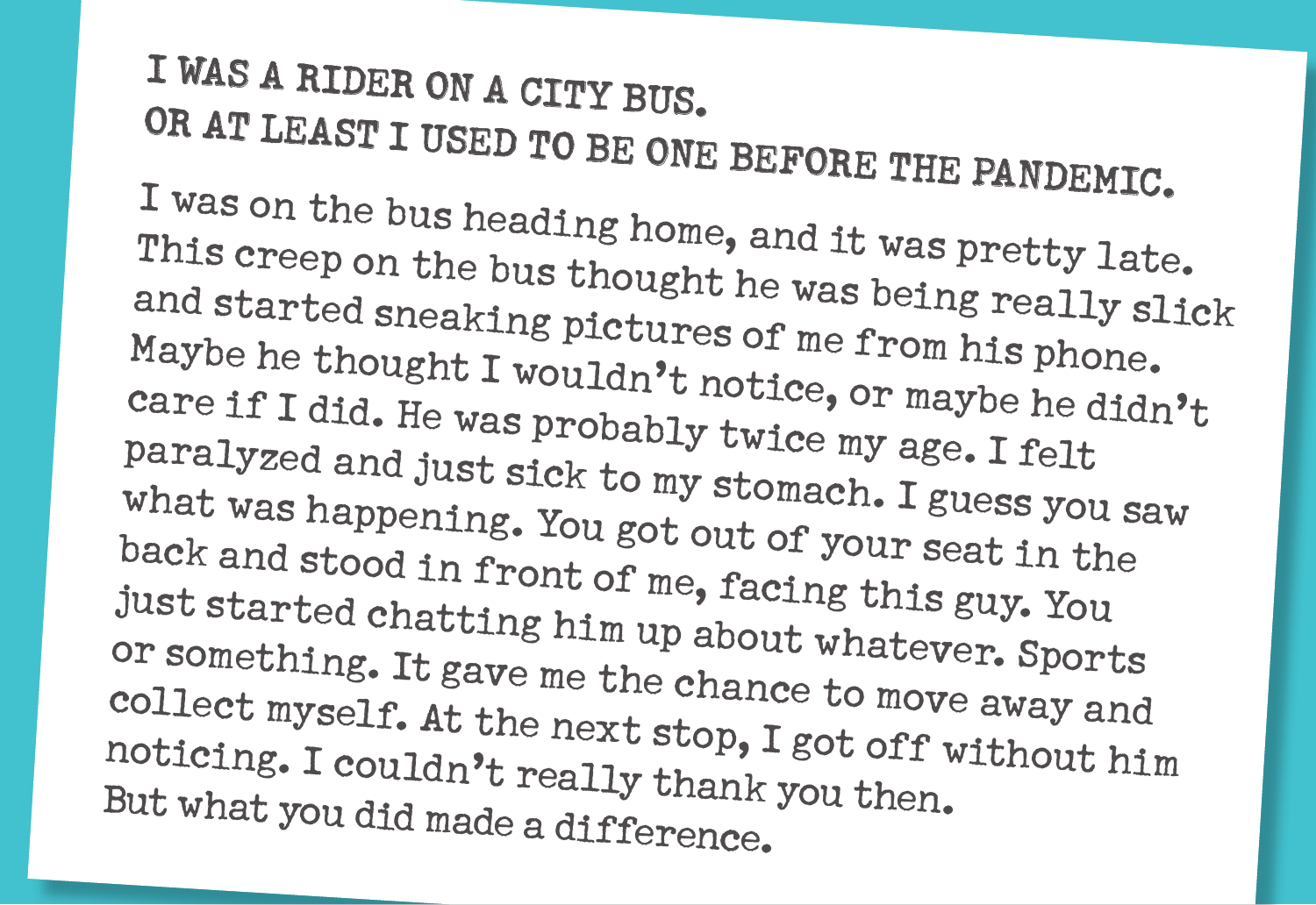## I WAS A RIDER ON A CITY BUS. OR AT LEAST I USED TO BE ONE BEFORE THE PANDEMIC.

I was on the bus heading home, and it was pretty late. This creep on the bus thought he was being really slick and started sneaking pictures of me from his phone. Maybe he thought I wouldn't notice, or maybe he didn't care if I did. He was probably twice my age. I felt paralyzed and just sick to my stomach. I guess you saw what was happening. You got out of your seat in the back and stood in front of me, facing this guy. You just started chatting him up about whatever. Sports or something. It gave me the chance to move away and collect myself. At the next stop, I got off without him noticing. I couldn't really thank you then. But what you did made a difference.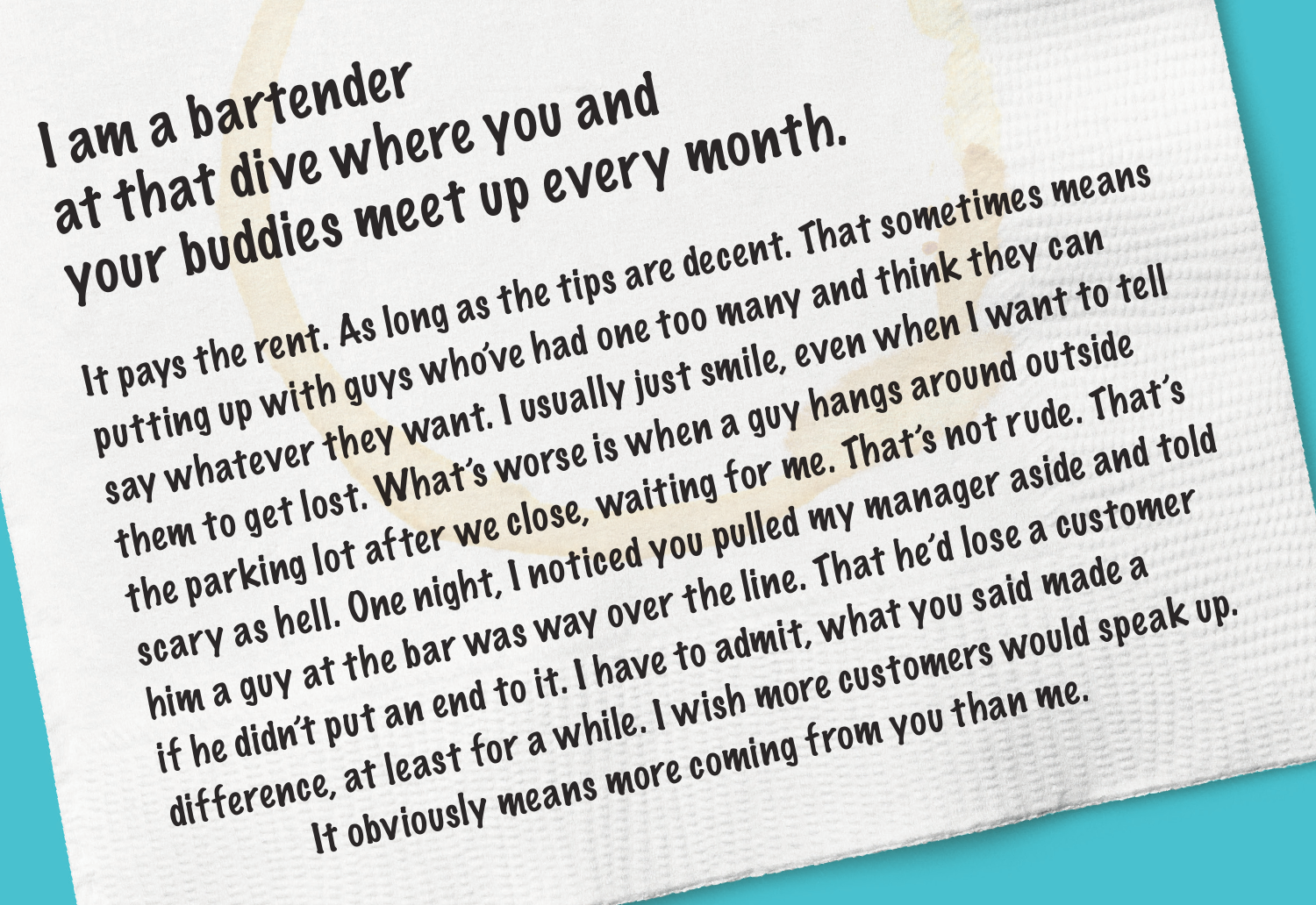It pays the rent. As long as the tips are decent. That sometimes means putting up with guys who've had one too many and think they can say whatever they want. I usually just smile, even when I want to tell them to get lost. What's worse is when a guy hangs around outside the parking lot after we close, waiting for me. That's not rude. That's scary as hell. One night, I noticed you pulled my manager aside and told him a guy at the bar was way over the line. That he'd lose a customer if he didn't put an end to it. I have to admit, what you said made a difference, at least for a while. I wish more customers would speak up. It obviously means more coming from you than me. I am a bartender at that dive where you and your buddies meet up every month.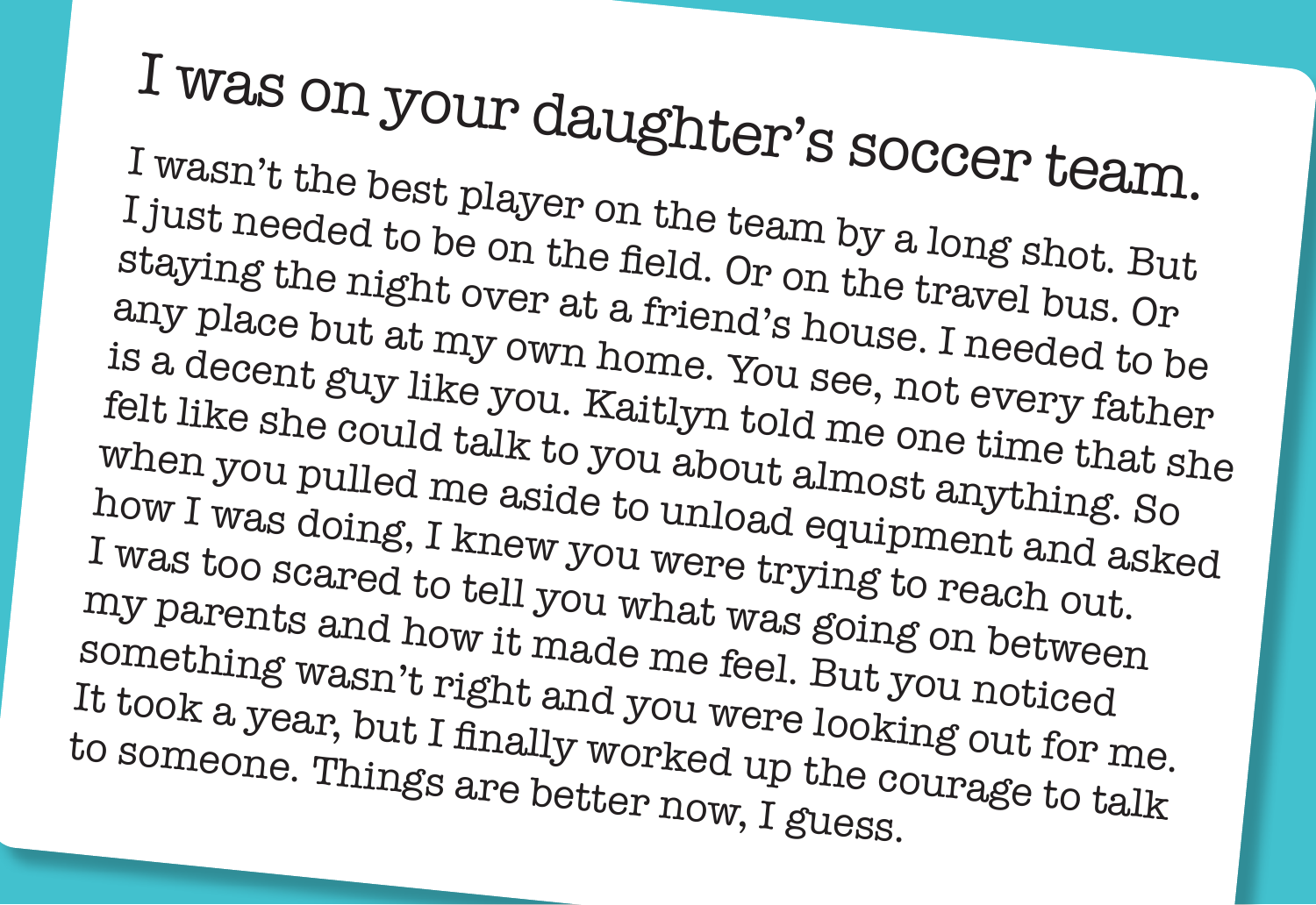I wasn't the best player on the team by a long shot. But I just needed to be on the field. Or on the travel bus. Or staying the night over at a friend's house. I needed to be any place but at my own home. You see, not every father is a decent guy like you. Kaitlyn told me one time that she felt like she could talk to you about almost anything. So when you pulled me aside to unload equipment and asked how I was doing, I knew you were trying to reach out. I was too scared to tell you what was going on between my parents and how it made me feel. But you noticed something wasn't right and you were looking out for me. It took a year, but I finally worked up the courage to talk to someone. Things are better now, I guess. I was on your daughter's soccer team.